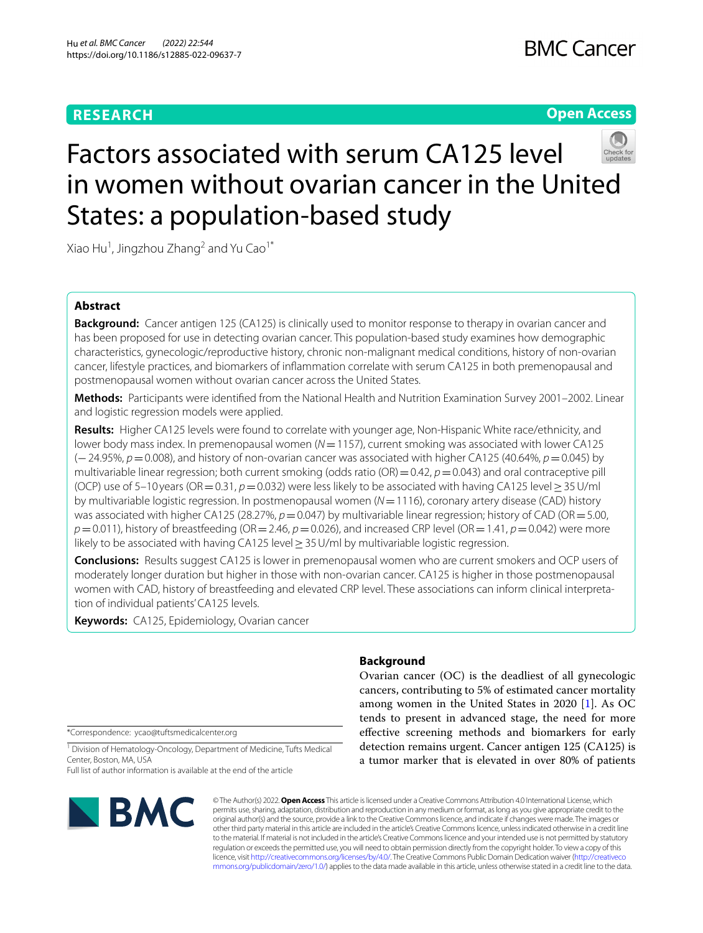# **RESEARCH**

# **Open Access**



# Factors associated with serum CA125 level in women without ovarian cancer in the United States: a population-based study

Xiao Hu<sup>1</sup>, Jingzhou Zhang<sup>2</sup> and Yu Cao<sup>1\*</sup>

# **Abstract**

**Background:** Cancer antigen 125 (CA125) is clinically used to monitor response to therapy in ovarian cancer and has been proposed for use in detecting ovarian cancer. This population-based study examines how demographic characteristics, gynecologic/reproductive history, chronic non-malignant medical conditions, history of non-ovarian cancer, lifestyle practices, and biomarkers of infammation correlate with serum CA125 in both premenopausal and postmenopausal women without ovarian cancer across the United States.

**Methods:** Participants were identifed from the National Health and Nutrition Examination Survey 2001–2002. Linear and logistic regression models were applied.

**Results:** Higher CA125 levels were found to correlate with younger age, Non-Hispanic White race/ethnicity, and lower body mass index. In premenopausal women ( $N=1157$ ), current smoking was associated with lower CA125 (−24.95%, *p*=0.008), and history of non-ovarian cancer was associated with higher CA125 (40.64%, *p*=0.045) by multivariable linear regression; both current smoking (odds ratio  $(OR) = 0.42$ ,  $p = 0.043$ ) and oral contraceptive pill (OCP) use of 5–10 years (OR=0.31, *p*=0.032) were less likely to be associated with having CA125 level≥35U/ml by multivariable logistic regression. In postmenopausal women (*N*=1116), coronary artery disease (CAD) history was associated with higher CA125 (28.27%,  $p=0.047$ ) by multivariable linear regression; history of CAD (OR = 5.00, *p*=0.011), history of breastfeeding (OR=2.46, *p*=0.026), and increased CRP level (OR=1.41, *p*=0.042) were more likely to be associated with having CA125 level  $\geq$  35 U/ml by multivariable logistic regression.

**Conclusions:** Results suggest CA125 is lower in premenopausal women who are current smokers and OCP users of moderately longer duration but higher in those with non-ovarian cancer. CA125 is higher in those postmenopausal women with CAD, history of breastfeeding and elevated CRP level. These associations can inform clinical interpretation of individual patients' CA125 levels.

**Keywords:** CA125, Epidemiology, Ovarian cancer

\*Correspondence: ycao@tuftsmedicalcenter.org

<sup>1</sup> Division of Hematology-Oncology, Department of Medicine, Tufts Medical Center, Boston, MA, USA

Full list of author information is available at the end of the article



# **Background**

Ovarian cancer (OC) is the deadliest of all gynecologic cancers, contributing to 5% of estimated cancer mortality among women in the United States in 2020 [[1\]](#page-12-0). As OC tends to present in advanced stage, the need for more efective screening methods and biomarkers for early detection remains urgent. Cancer antigen 125 (CA125) is a tumor marker that is elevated in over 80% of patients

© The Author(s) 2022. **Open Access** This article is licensed under a Creative Commons Attribution 4.0 International License, which permits use, sharing, adaptation, distribution and reproduction in any medium or format, as long as you give appropriate credit to the original author(s) and the source, provide a link to the Creative Commons licence, and indicate if changes were made. The images or other third party material in this article are included in the article's Creative Commons licence, unless indicated otherwise in a credit line to the material. If material is not included in the article's Creative Commons licence and your intended use is not permitted by statutory regulation or exceeds the permitted use, you will need to obtain permission directly from the copyright holder. To view a copy of this licence, visit [http://creativecommons.org/licenses/by/4.0/.](http://creativecommons.org/licenses/by/4.0/) The Creative Commons Public Domain Dedication waiver ([http://creativeco](http://creativecommons.org/publicdomain/zero/1.0/) [mmons.org/publicdomain/zero/1.0/](http://creativecommons.org/publicdomain/zero/1.0/)) applies to the data made available in this article, unless otherwise stated in a credit line to the data.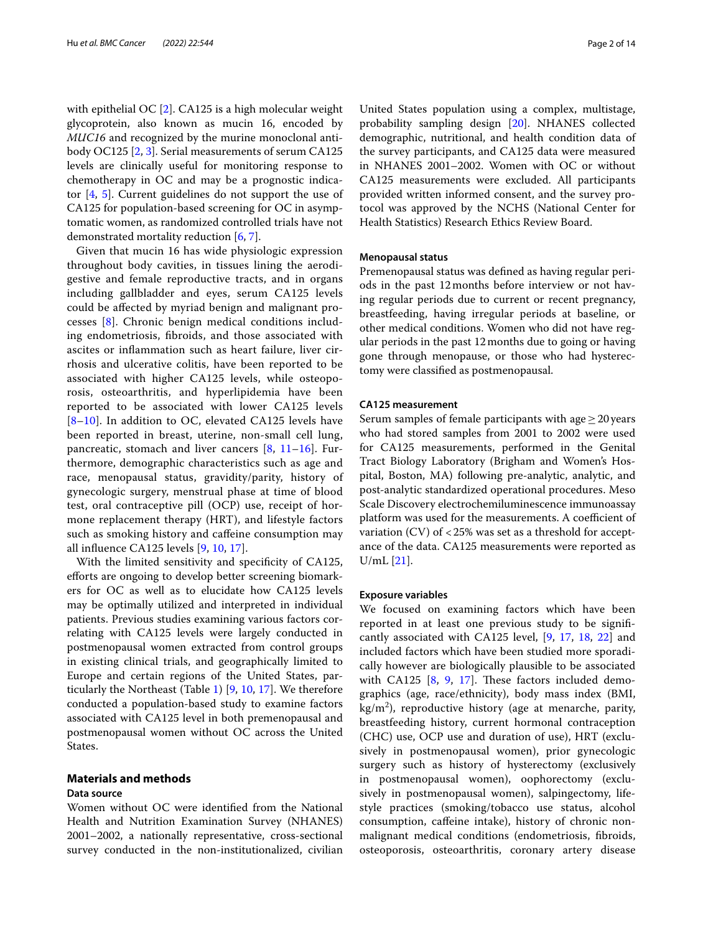with epithelial OC [\[2](#page-12-1)]. CA125 is a high molecular weight glycoprotein, also known as mucin 16, encoded by *MUC16* and recognized by the murine monoclonal antibody OC125 [\[2](#page-12-1), [3](#page-12-2)]. Serial measurements of serum CA125 levels are clinically useful for monitoring response to chemotherapy in OC and may be a prognostic indicator [[4,](#page-12-3) [5](#page-12-4)]. Current guidelines do not support the use of CA125 for population-based screening for OC in asymptomatic women, as randomized controlled trials have not demonstrated mortality reduction [\[6](#page-13-0), [7\]](#page-13-1).

Given that mucin 16 has wide physiologic expression throughout body cavities, in tissues lining the aerodigestive and female reproductive tracts, and in organs including gallbladder and eyes, serum CA125 levels could be afected by myriad benign and malignant processes [[8\]](#page-13-2). Chronic benign medical conditions including endometriosis, fbroids, and those associated with ascites or infammation such as heart failure, liver cirrhosis and ulcerative colitis, have been reported to be associated with higher CA125 levels, while osteoporosis, osteoarthritis, and hyperlipidemia have been reported to be associated with lower CA125 levels [[8](#page-13-2)–[10](#page-13-3)]. In addition to OC, elevated CA125 levels have been reported in breast, uterine, non-small cell lung, pancreatic, stomach and liver cancers [\[8](#page-13-2), [11](#page-13-4)[–16](#page-13-5)]. Furthermore, demographic characteristics such as age and race, menopausal status, gravidity/parity, history of gynecologic surgery, menstrual phase at time of blood test, oral contraceptive pill (OCP) use, receipt of hormone replacement therapy (HRT), and lifestyle factors such as smoking history and cafeine consumption may all infuence CA125 levels [[9](#page-13-6), [10,](#page-13-3) [17\]](#page-13-7).

With the limited sensitivity and specificity of CA125, eforts are ongoing to develop better screening biomarkers for OC as well as to elucidate how CA125 levels may be optimally utilized and interpreted in individual patients. Previous studies examining various factors correlating with CA125 levels were largely conducted in postmenopausal women extracted from control groups in existing clinical trials, and geographically limited to Europe and certain regions of the United States, particularly the Northeast (Table [1](#page-2-0)) [\[9](#page-13-6), [10](#page-13-3), [17\]](#page-13-7). We therefore conducted a population-based study to examine factors associated with CA125 level in both premenopausal and postmenopausal women without OC across the United States.

# **Materials and methods**

## **Data source**

Women without OC were identifed from the National Health and Nutrition Examination Survey (NHANES) 2001–2002, a nationally representative, cross-sectional survey conducted in the non-institutionalized, civilian

United States population using a complex, multistage, probability sampling design [[20\]](#page-13-8). NHANES collected demographic, nutritional, and health condition data of the survey participants, and CA125 data were measured in NHANES 2001–2002. Women with OC or without CA125 measurements were excluded. All participants provided written informed consent, and the survey protocol was approved by the NCHS (National Center for Health Statistics) Research Ethics Review Board.

## **Menopausal status**

Premenopausal status was defned as having regular periods in the past 12months before interview or not having regular periods due to current or recent pregnancy, breastfeeding, having irregular periods at baseline, or other medical conditions. Women who did not have regular periods in the past 12months due to going or having gone through menopause, or those who had hysterectomy were classifed as postmenopausal.

# **CA125 measurement**

Serum samples of female participants with age  $\geq$  20 years who had stored samples from 2001 to 2002 were used for CA125 measurements, performed in the Genital Tract Biology Laboratory (Brigham and Women's Hospital, Boston, MA) following pre-analytic, analytic, and post-analytic standardized operational procedures. Meso Scale Discovery electrochemiluminescence immunoassay platform was used for the measurements. A coefficient of variation (CV) of <25% was set as a threshold for acceptance of the data. CA125 measurements were reported as U/mL [[21\]](#page-13-9).

## **Exposure variables**

We focused on examining factors which have been reported in at least one previous study to be signifcantly associated with CA125 level, [\[9](#page-13-6), [17](#page-13-7), [18](#page-13-10), [22](#page-13-11)] and included factors which have been studied more sporadically however are biologically plausible to be associated with CA125  $[8, 9, 17]$  $[8, 9, 17]$  $[8, 9, 17]$  $[8, 9, 17]$  $[8, 9, 17]$  $[8, 9, 17]$ . These factors included demographics (age, race/ethnicity), body mass index (BMI,  $\text{kg/m}^2$ ), reproductive history (age at menarche, parity, breastfeeding history, current hormonal contraception (CHC) use, OCP use and duration of use), HRT (exclusively in postmenopausal women), prior gynecologic surgery such as history of hysterectomy (exclusively in postmenopausal women), oophorectomy (exclusively in postmenopausal women), salpingectomy, lifestyle practices (smoking/tobacco use status, alcohol consumption, cafeine intake), history of chronic nonmalignant medical conditions (endometriosis, fbroids, osteoporosis, osteoarthritis, coronary artery disease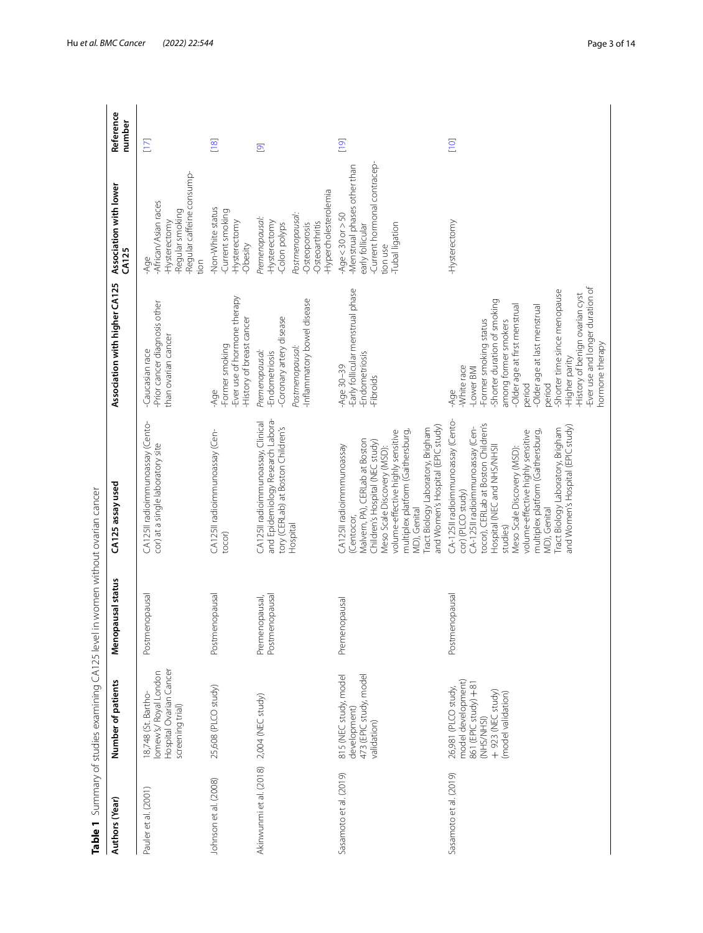<span id="page-2-0"></span>

| Table 1                                   | Summary of studies examining CA125 leve                                                                                     |                                  | in women without ovarian cancer                                                                                                                                                                                                                                                                                                                                                |                                                                                                                                                                                                                                                                                                                                                       |                                                                                                                                |                                        |
|-------------------------------------------|-----------------------------------------------------------------------------------------------------------------------------|----------------------------------|--------------------------------------------------------------------------------------------------------------------------------------------------------------------------------------------------------------------------------------------------------------------------------------------------------------------------------------------------------------------------------|-------------------------------------------------------------------------------------------------------------------------------------------------------------------------------------------------------------------------------------------------------------------------------------------------------------------------------------------------------|--------------------------------------------------------------------------------------------------------------------------------|----------------------------------------|
| Authors (Year)                            | Number of patients                                                                                                          | pausal status<br>Meno            | CA125 assay used                                                                                                                                                                                                                                                                                                                                                               | Association with higher CA125                                                                                                                                                                                                                                                                                                                         | Association with lower<br><b>CA125</b>                                                                                         | Reference<br>number                    |
| Pauler et al. (2001)                      | Hospital Ovarian Cancer<br>lomew's/Royal London<br>18,748 (St. Bartho-<br>screening trial)                                  | Postmenopausal                   | CA125II radioimmunoassay (Cento-<br>cor) at a single laboratory site                                                                                                                                                                                                                                                                                                           | -Prior cancer diagnosis other<br>than ovarian cancer<br>Caucasian race                                                                                                                                                                                                                                                                                | -Regular caffeine consump-<br>-African/Asian races<br>-Regular smoking<br>-Hysterectomy<br>-Age<br>tion                        | $[17]$                                 |
| Johnson et al. (2008)                     | 25,608 (PLCO study)                                                                                                         | Postmenopausal                   | CA125II radioimmunoassay (Cen-<br>tocor)                                                                                                                                                                                                                                                                                                                                       | -Ever use of hormone therapy<br>-History of breast cancer<br>-Former smoking<br>-Age                                                                                                                                                                                                                                                                  | -Non-White status<br>Current smoking<br>-Hysterectomy<br>-Obesity                                                              | $[18]$                                 |
| Akinwunmi et al. (2018) 2,004 (NEC study) |                                                                                                                             | Premenopausal,<br>Postmenopausal | and Epidemiology Research Labora-<br>CA125II radioimmunoassay, Clinical<br>tory (CERLab) at Boston Children's<br>Hospital                                                                                                                                                                                                                                                      | Inflammatory bowel disease<br>-Coronary artery disease<br>Postmenopausal:<br>Premenopausal:<br>-Endometriosis                                                                                                                                                                                                                                         | Hypercholesterolemia<br>Postmenopausal:<br>Premenopausal:<br>-Hysterectomy<br>-Osteoarthritis<br>Colon polyps<br>-Osteoporosis | $\overline{\mathbf{e}}$                |
| Sasamoto et al. (2019)                    | development)<br>473 (EPIC study, model<br>815 (NEC study, model<br>validation)                                              | Premenopausal                    | and Women's Hospital (EPIC study)<br>Tract Biology Laboratory, Brigham<br>volume-effective highly sensitive<br>multiplex platform (Gaithersburg,<br>Malvern, PA), CERLab at Boston<br>Children's Hospital (NEC study)<br>CA125II radioimmmunoassay<br>Meso Scale Discovery (MSD):<br>MD), Genital<br>Centocor,                                                                 | -Early follicular menstrual phase<br>-Endometriosis<br>Age 30-39<br>-Fibroids                                                                                                                                                                                                                                                                         | Current hormonal contracep-<br>-Menstrual phases other than<br>Age<30 or >50<br>Tubal ligation<br>early follicular<br>tion use | $\begin{bmatrix} 0 \\ 1 \end{bmatrix}$ |
| Sasamoto et al. (2019)                    | model development)<br>861 (EPIC study) + 81<br>26,981 (PLCO study,<br>$+923$ (NEC study)<br>model validation)<br>(NHS/NHSI) | Postmenopausal                   | CA-125II radioimmunoassay (Cento-<br>tocor), CERLab at Boston Children's<br>and Women's Hospital (EPIC study)<br>CA-125II radioimmunoassay (Cen-<br>Tract Biology Laboratory, Brigham<br>volume-effective highly sensitive<br>multiplex platform (Gaithersburg,<br>Hospital (NEC and NHS/NHSII<br>Meso Scale Discovery (MSD):<br>cor) (PLCO study)<br>MD), Genital<br>studies) | -Ever use and longer duration of<br>-Shorter time since menopause<br>-History of benign ovarian cyst<br>Shorter duration of smoking<br>-Older age at first menstrual<br>Older age at last menstrual<br>-Former smoking status<br>among former smokers<br>hormone therapy<br>-Higher parity<br>-White race<br>-Lower BMI<br>period<br>period<br>$-Aqe$ | -Hysterectomy                                                                                                                  | [10]                                   |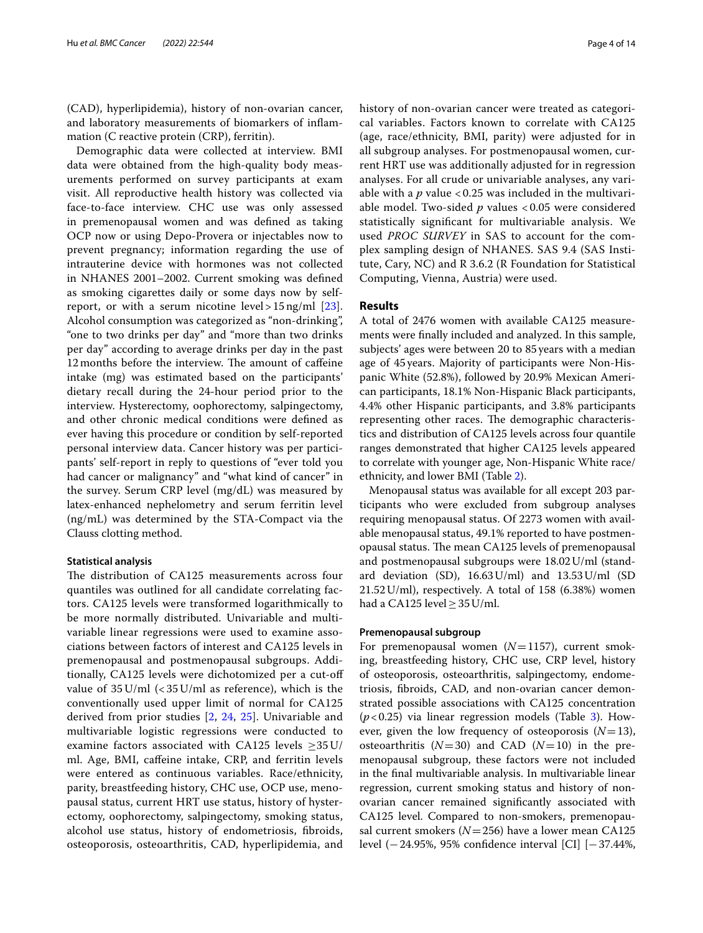(CAD), hyperlipidemia), history of non-ovarian cancer, and laboratory measurements of biomarkers of infammation (C reactive protein (CRP), ferritin).

Demographic data were collected at interview. BMI data were obtained from the high-quality body measurements performed on survey participants at exam visit. All reproductive health history was collected via face-to-face interview. CHC use was only assessed in premenopausal women and was defned as taking OCP now or using Depo-Provera or injectables now to prevent pregnancy; information regarding the use of intrauterine device with hormones was not collected in NHANES 2001–2002. Current smoking was defned as smoking cigarettes daily or some days now by selfreport, or with a serum nicotine level >  $15 \text{ ng/ml}$  [\[23](#page-13-13)]. Alcohol consumption was categorized as "non-drinking", "one to two drinks per day" and "more than two drinks per day" according to average drinks per day in the past 12 months before the interview. The amount of caffeine intake (mg) was estimated based on the participants' dietary recall during the 24-hour period prior to the interview. Hysterectomy, oophorectomy, salpingectomy, and other chronic medical conditions were defned as ever having this procedure or condition by self-reported personal interview data. Cancer history was per participants' self-report in reply to questions of "ever told you had cancer or malignancy" and "what kind of cancer" in the survey. Serum CRP level (mg/dL) was measured by latex-enhanced nephelometry and serum ferritin level (ng/mL) was determined by the STA-Compact via the Clauss clotting method.

## **Statistical analysis**

The distribution of CA125 measurements across four quantiles was outlined for all candidate correlating factors. CA125 levels were transformed logarithmically to be more normally distributed. Univariable and multivariable linear regressions were used to examine associations between factors of interest and CA125 levels in premenopausal and postmenopausal subgroups. Additionally, CA125 levels were dichotomized per a cut-of value of  $35$  U/ml  $\left($  <  $35$  U/ml as reference), which is the conventionally used upper limit of normal for CA125 derived from prior studies [[2,](#page-12-1) [24,](#page-13-14) [25\]](#page-13-15). Univariable and multivariable logistic regressions were conducted to examine factors associated with CA125 levels  $\geq$ 35U/ ml. Age, BMI, cafeine intake, CRP, and ferritin levels were entered as continuous variables. Race/ethnicity, parity, breastfeeding history, CHC use, OCP use, menopausal status, current HRT use status, history of hysterectomy, oophorectomy, salpingectomy, smoking status, alcohol use status, history of endometriosis, fbroids, osteoporosis, osteoarthritis, CAD, hyperlipidemia, and history of non-ovarian cancer were treated as categorical variables. Factors known to correlate with CA125 (age, race/ethnicity, BMI, parity) were adjusted for in all subgroup analyses. For postmenopausal women, current HRT use was additionally adjusted for in regression analyses. For all crude or univariable analyses, any variable with a  $p$  value < 0.25 was included in the multivariable model. Two-sided *p* values < 0.05 were considered statistically signifcant for multivariable analysis. We used *PROC SURVEY* in SAS to account for the complex sampling design of NHANES. SAS 9.4 (SAS Institute, Cary, NC) and R 3.6.2 (R Foundation for Statistical Computing, Vienna, Austria) were used.

# **Results**

A total of 2476 women with available CA125 measurements were fnally included and analyzed. In this sample, subjects' ages were between 20 to 85 years with a median age of 45years. Majority of participants were Non-Hispanic White (52.8%), followed by 20.9% Mexican American participants, 18.1% Non-Hispanic Black participants, 4.4% other Hispanic participants, and 3.8% participants representing other races. The demographic characteristics and distribution of CA125 levels across four quantile ranges demonstrated that higher CA125 levels appeared to correlate with younger age, Non-Hispanic White race/ ethnicity, and lower BMI (Table [2\)](#page-4-0).

Menopausal status was available for all except 203 participants who were excluded from subgroup analyses requiring menopausal status. Of 2273 women with available menopausal status, 49.1% reported to have postmenopausal status. The mean CA125 levels of premenopausal and postmenopausal subgroups were 18.02U/ml (standard deviation (SD), 16.63U/ml) and 13.53U/ml (SD 21.52U/ml), respectively. A total of 158 (6.38%) women had a CA125 level  $\geq$  35 U/ml.

## **Premenopausal subgroup**

For premenopausal women (*N*=1157), current smoking, breastfeeding history, CHC use, CRP level, history of osteoporosis, osteoarthritis, salpingectomy, endometriosis, fbroids, CAD, and non-ovarian cancer demonstrated possible associations with CA125 concentration  $(p<0.25)$  via linear regression models (Table [3](#page-6-0)). However, given the low frequency of osteoporosis  $(N=13)$ , osteoarthritis  $(N=30)$  and CAD  $(N=10)$  in the premenopausal subgroup, these factors were not included in the fnal multivariable analysis. In multivariable linear regression, current smoking status and history of nonovarian cancer remained signifcantly associated with CA125 level. Compared to non-smokers, premenopausal current smokers (*N*=256) have a lower mean CA125 level (−24.95%, 95% confdence interval [CI] [−37.44%,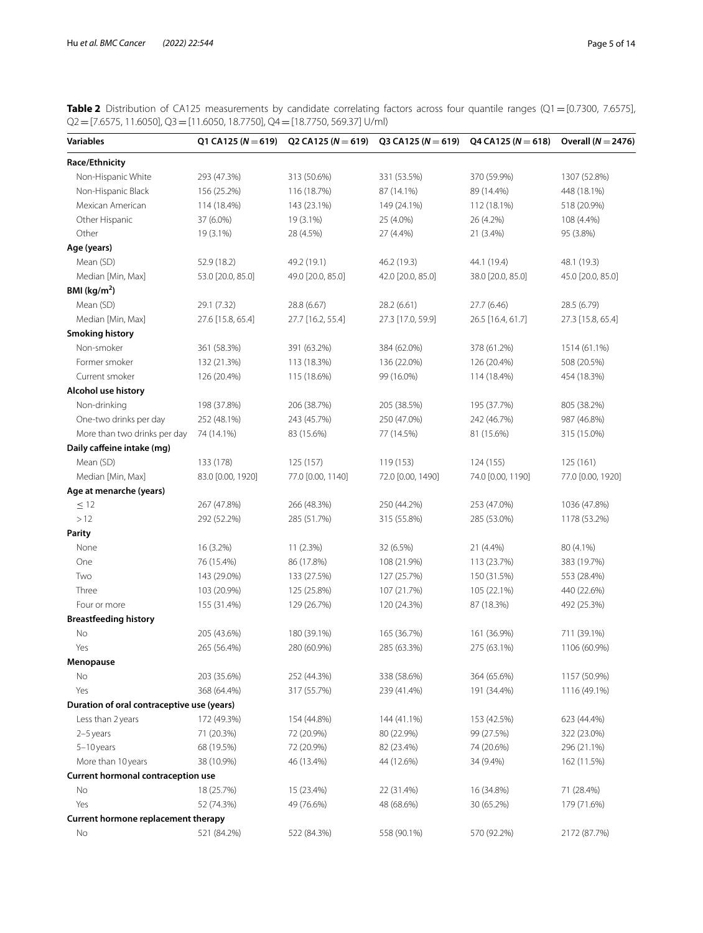<span id="page-4-0"></span>**Table 2** Distribution of CA125 measurements by candidate correlating factors across four quantile ranges (Q1=[0.7300, 7.6575],  $Q2=[7.6575, 11.6050], Q3=[11.6050, 18.7750], Q4=[18.7750, 569.37]$  U/ml)

| <b>Variables</b>                           | Q1 CA125 ( $N = 619$ ) | Q2 CA125 ( $N = 619$ ) | Q3 CA125 ( $N = 619$ ) | Q4 CA125 ( $N = 618$ ) | Overall ( $N = 2476$ ) |
|--------------------------------------------|------------------------|------------------------|------------------------|------------------------|------------------------|
| Race/Ethnicity                             |                        |                        |                        |                        |                        |
| Non-Hispanic White                         | 293 (47.3%)            | 313 (50.6%)            | 331 (53.5%)            | 370 (59.9%)            | 1307 (52.8%)           |
| Non-Hispanic Black                         | 156 (25.2%)            | 116 (18.7%)            | 87 (14.1%)             | 89 (14.4%)             | 448 (18.1%)            |
| Mexican American                           | 114 (18.4%)            | 143 (23.1%)            | 149 (24.1%)            | 112 (18.1%)            | 518 (20.9%)            |
| Other Hispanic                             | 37 (6.0%)              | 19 (3.1%)              | 25 (4.0%)              | 26 (4.2%)              | 108 (4.4%)             |
| Other                                      | 19 (3.1%)              | 28 (4.5%)              | 27 (4.4%)              | 21 (3.4%)              | 95 (3.8%)              |
| Age (years)                                |                        |                        |                        |                        |                        |
| Mean (SD)                                  | 52.9 (18.2)            | 49.2 (19.1)            | 46.2 (19.3)            | 44.1 (19.4)            | 48.1 (19.3)            |
| Median [Min, Max]                          | 53.0 [20.0, 85.0]      | 49.0 [20.0, 85.0]      | 42.0 [20.0, 85.0]      | 38.0 [20.0, 85.0]      | 45.0 [20.0, 85.0]      |
| BMI ( $kg/m2$ )                            |                        |                        |                        |                        |                        |
| Mean (SD)                                  | 29.1 (7.32)            | 28.8 (6.67)            | 28.2 (6.61)            | 27.7 (6.46)            | 28.5 (6.79)            |
| Median [Min, Max]                          | 27.6 [15.8, 65.4]      | 27.7 [16.2, 55.4]      | 27.3 [17.0, 59.9]      | 26.5 [16.4, 61.7]      | 27.3 [15.8, 65.4]      |
| <b>Smoking history</b>                     |                        |                        |                        |                        |                        |
| Non-smoker                                 | 361 (58.3%)            | 391 (63.2%)            | 384 (62.0%)            | 378 (61.2%)            | 1514 (61.1%)           |
| Former smoker                              | 132 (21.3%)            | 113 (18.3%)            | 136 (22.0%)            | 126 (20.4%)            | 508 (20.5%)            |
| Current smoker                             | 126 (20.4%)            | 115 (18.6%)            | 99 (16.0%)             | 114 (18.4%)            | 454 (18.3%)            |
| Alcohol use history                        |                        |                        |                        |                        |                        |
| Non-drinking                               | 198 (37.8%)            | 206 (38.7%)            | 205 (38.5%)            | 195 (37.7%)            | 805 (38.2%)            |
| One-two drinks per day                     | 252 (48.1%)            | 243 (45.7%)            | 250 (47.0%)            | 242 (46.7%)            | 987 (46.8%)            |
| More than two drinks per day               | 74 (14.1%)             | 83 (15.6%)             | 77 (14.5%)             | 81 (15.6%)             | 315 (15.0%)            |
| Daily caffeine intake (mg)                 |                        |                        |                        |                        |                        |
| Mean (SD)                                  | 133 (178)              | 125 (157)              | 119 (153)              | 124 (155)              | 125 (161)              |
| Median [Min, Max]                          | 83.0 [0.00, 1920]      | 77.0 [0.00, 1140]      | 72.0 [0.00, 1490]      | 74.0 [0.00, 1190]      | 77.0 [0.00, 1920]      |
| Age at menarche (years)                    |                        |                        |                        |                        |                        |
| $\leq$ 12                                  | 267 (47.8%)            | 266 (48.3%)            | 250 (44.2%)            | 253 (47.0%)            | 1036 (47.8%)           |
| >12                                        | 292 (52.2%)            | 285 (51.7%)            | 315 (55.8%)            | 285 (53.0%)            | 1178 (53.2%)           |
| <b>Parity</b>                              |                        |                        |                        |                        |                        |
| None                                       | 16 (3.2%)              | 11 (2.3%)              | 32 (6.5%)              | 21 (4.4%)              | 80 (4.1%)              |
| One                                        | 76 (15.4%)             | 86 (17.8%)             | 108 (21.9%)            | 113 (23.7%)            | 383 (19.7%)            |
| Two                                        | 143 (29.0%)            | 133 (27.5%)            | 127 (25.7%)            | 150 (31.5%)            | 553 (28.4%)            |
| Three                                      | 103 (20.9%)            | 125 (25.8%)            | 107 (21.7%)            | 105 (22.1%)            | 440 (22.6%)            |
| Four or more                               | 155 (31.4%)            | 129 (26.7%)            | 120 (24.3%)            | 87 (18.3%)             | 492 (25.3%)            |
| <b>Breastfeeding history</b>               |                        |                        |                        |                        |                        |
| No                                         | 205 (43.6%)            | 180 (39.1%)            | 165 (36.7%)            | 161 (36.9%)            | 711 (39.1%)            |
| Yes                                        | 265 (56.4%)            | 280 (60.9%)            | 285 (63.3%)            | 275 (63.1%)            | 1106 (60.9%)           |
| Menopause                                  |                        |                        |                        |                        |                        |
| No                                         | 203 (35.6%)            | 252 (44.3%)            | 338 (58.6%)            | 364 (65.6%)            | 1157 (50.9%)           |
| Yes                                        | 368 (64.4%)            | 317 (55.7%)            | 239 (41.4%)            | 191 (34.4%)            | 1116 (49.1%)           |
| Duration of oral contraceptive use (years) |                        |                        |                        |                        |                        |
| Less than 2 years                          | 172 (49.3%)            | 154 (44.8%)            | 144 (41.1%)            | 153 (42.5%)            | 623 (44.4%)            |
| $2-5$ years                                | 71 (20.3%)             | 72 (20.9%)             | 80 (22.9%)             | 99 (27.5%)             | 322 (23.0%)            |
| 5-10 years                                 | 68 (19.5%)             | 72 (20.9%)             | 82 (23.4%)             | 74 (20.6%)             | 296 (21.1%)            |
| More than 10 years                         | 38 (10.9%)             | 46 (13.4%)             | 44 (12.6%)             | 34 (9.4%)              | 162 (11.5%)            |
| Current hormonal contraception use         |                        |                        |                        |                        |                        |
| No                                         | 18 (25.7%)             | 15 (23.4%)             | 22 (31.4%)             | 16 (34.8%)             | 71 (28.4%)             |
| Yes                                        | 52 (74.3%)             | 49 (76.6%)             | 48 (68.6%)             | 30 (65.2%)             | 179 (71.6%)            |
| Current hormone replacement therapy        |                        |                        |                        |                        |                        |
| No                                         | 521 (84.2%)            | 522 (84.3%)            | 558 (90.1%)            | 570 (92.2%)            | 2172 (87.7%)           |
|                                            |                        |                        |                        |                        |                        |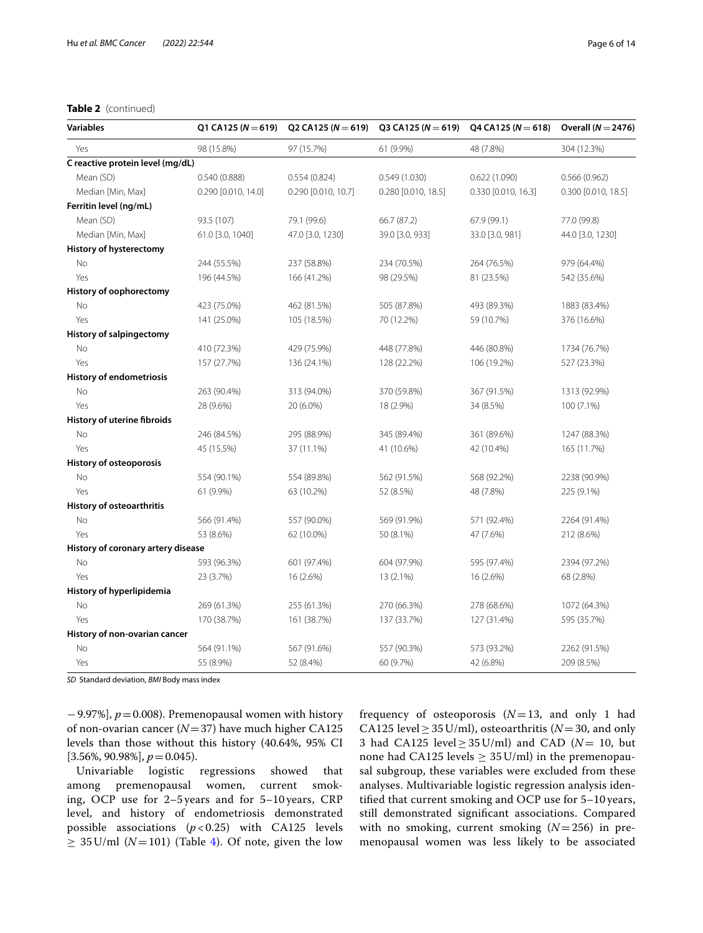# **Table 2** (continued)

| <b>Variables</b>                   | Q1 CA125 ( $N = 619$ ) | Q2 CA125 ( $N = 619$ ) |                     | Q3 CA125 ( $N = 619$ ) Q4 CA125 ( $N = 618$ ) | Overall ( $N = 2476$ ) |
|------------------------------------|------------------------|------------------------|---------------------|-----------------------------------------------|------------------------|
| Yes                                | 98 (15.8%)             | 97 (15.7%)             | 61 (9.9%)           | 48 (7.8%)                                     | 304 (12.3%)            |
| C reactive protein level (mg/dL)   |                        |                        |                     |                                               |                        |
| Mean (SD)                          | 0.540(0.888)           | 0.554(0.824)           | 0.549(1.030)        | 0.622(1.090)                                  | 0.566(0.962)           |
| Median [Min, Max]                  | 0.290 [0.010, 14.0]    | 0.290 [0.010, 10.7]    | 0.280 [0.010, 18.5] | 0.330 [0.010, 16.3]                           | 0.300 [0.010, 18.5]    |
| Ferritin level (ng/mL)             |                        |                        |                     |                                               |                        |
| Mean (SD)                          | 93.5 (107)             | 79.1 (99.6)            | 66.7 (87.2)         | 67.9 (99.1)                                   | 77.0 (99.8)            |
| Median [Min, Max]                  | 61.0 [3.0, 1040]       | 47.0 [3.0, 1230]       | 39.0 [3.0, 933]     | 33.0 [3.0, 981]                               | 44.0 [3.0, 1230]       |
| <b>History of hysterectomy</b>     |                        |                        |                     |                                               |                        |
| No                                 | 244 (55.5%)            | 237 (58.8%)            | 234 (70.5%)         | 264 (76.5%)                                   | 979 (64.4%)            |
| Yes                                | 196 (44.5%)            | 166 (41.2%)            | 98 (29.5%)          | 81 (23.5%)                                    | 542 (35.6%)            |
| History of oophorectomy            |                        |                        |                     |                                               |                        |
| No                                 | 423 (75.0%)            | 462 (81.5%)            | 505 (87.8%)         | 493 (89.3%)                                   | 1883 (83.4%)           |
| Yes                                | 141 (25.0%)            | 105 (18.5%)            | 70 (12.2%)          | 59 (10.7%)                                    | 376 (16.6%)            |
| <b>History of salpingectomy</b>    |                        |                        |                     |                                               |                        |
| No                                 | 410 (72.3%)            | 429 (75.9%)            | 448 (77.8%)         | 446 (80.8%)                                   | 1734 (76.7%)           |
| Yes                                | 157 (27.7%)            | 136 (24.1%)            | 128 (22.2%)         | 106 (19.2%)                                   | 527 (23.3%)            |
| <b>History of endometriosis</b>    |                        |                        |                     |                                               |                        |
| No                                 | 263 (90.4%)            | 313 (94.0%)            | 370 (59.8%)         | 367 (91.5%)                                   | 1313 (92.9%)           |
| Yes                                | 28 (9.6%)              | 20 (6.0%)              | 18 (2.9%)           | 34 (8.5%)                                     | 100 (7.1%)             |
| <b>History of uterine fibroids</b> |                        |                        |                     |                                               |                        |
| No                                 | 246 (84.5%)            | 295 (88.9%)            | 345 (89.4%)         | 361 (89.6%)                                   | 1247 (88.3%)           |
| Yes                                | 45 (15.5%)             | 37 (11.1%)             | 41 (10.6%)          | 42 (10.4%)                                    | 165 (11.7%)            |
| <b>History of osteoporosis</b>     |                        |                        |                     |                                               |                        |
| No                                 | 554 (90.1%)            | 554 (89.8%)            | 562 (91.5%)         | 568 (92.2%)                                   | 2238 (90.9%)           |
| Yes                                | 61 (9.9%)              | 63 (10.2%)             | 52 (8.5%)           | 48 (7.8%)                                     | 225 (9.1%)             |
| History of osteoarthritis          |                        |                        |                     |                                               |                        |
| No                                 | 566 (91.4%)            | 557 (90.0%)            | 569 (91.9%)         | 571 (92.4%)                                   | 2264 (91.4%)           |
| Yes                                | 53 (8.6%)              | 62 (10.0%)             | 50 (8.1%)           | 47 (7.6%)                                     | 212 (8.6%)             |
| History of coronary artery disease |                        |                        |                     |                                               |                        |
| No                                 | 593 (96.3%)            | 601 (97.4%)            | 604 (97.9%)         | 595 (97.4%)                                   | 2394 (97.2%)           |
| Yes                                | 23 (3.7%)              | 16 (2.6%)              | 13 (2.1%)           | 16 (2.6%)                                     | 68 (2.8%)              |
| History of hyperlipidemia          |                        |                        |                     |                                               |                        |
| No                                 | 269 (61.3%)            | 255 (61.3%)            | 270 (66.3%)         | 278 (68.6%)                                   | 1072 (64.3%)           |
| Yes                                | 170 (38.7%)            | 161 (38.7%)            | 137 (33.7%)         | 127 (31.4%)                                   | 595 (35.7%)            |
| History of non-ovarian cancer      |                        |                        |                     |                                               |                        |
| No                                 | 564 (91.1%)            | 567 (91.6%)            | 557 (90.3%)         | 573 (93.2%)                                   | 2262 (91.5%)           |
| Yes                                | 55 (8.9%)              | 52 (8.4%)              | 60 (9.7%)           | 42 (6.8%)                                     | 209 (8.5%)             |

*SD*  Standard deviation, *BMI* Body mass index

−9.97%], *p*=0.008). Premenopausal women with history of non-ovarian cancer (*N*=37) have much higher CA125 levels than those without this history (40.64%, 95% CI [3.56%, 90.98%], *p* = 0.045).<br>Univariable logistic

regressions showed that among premenopausal women, current smoking, OCP use for 2–5 years and for 5–10 years, CRP level, and history of endometriosis demonstrated possible associations  $(p < 0.25)$  with CA125 levels  $\geq$  35 U/ml ( $N=101$ ) (Table [4](#page-7-0)). Of note, given the low frequency of osteoporosis (*N*=13, and only 1 had CA125 level  $\geq$  35 U/ml), osteoarthritis ( $N=30$ , and only 3 had CA125 level≥35U/ml) and CAD (*N*= 10, but none had CA125 levels  $\geq$  35 U/ml) in the premenopausal subgroup, these variables were excluded from these analyses. Multivariable logistic regression analysis identifed that current smoking and OCP use for 5–10 years, still demonstrated signifcant associations. Compared with no smoking, current smoking (*N*=256) in premenopausal women was less likely to be associated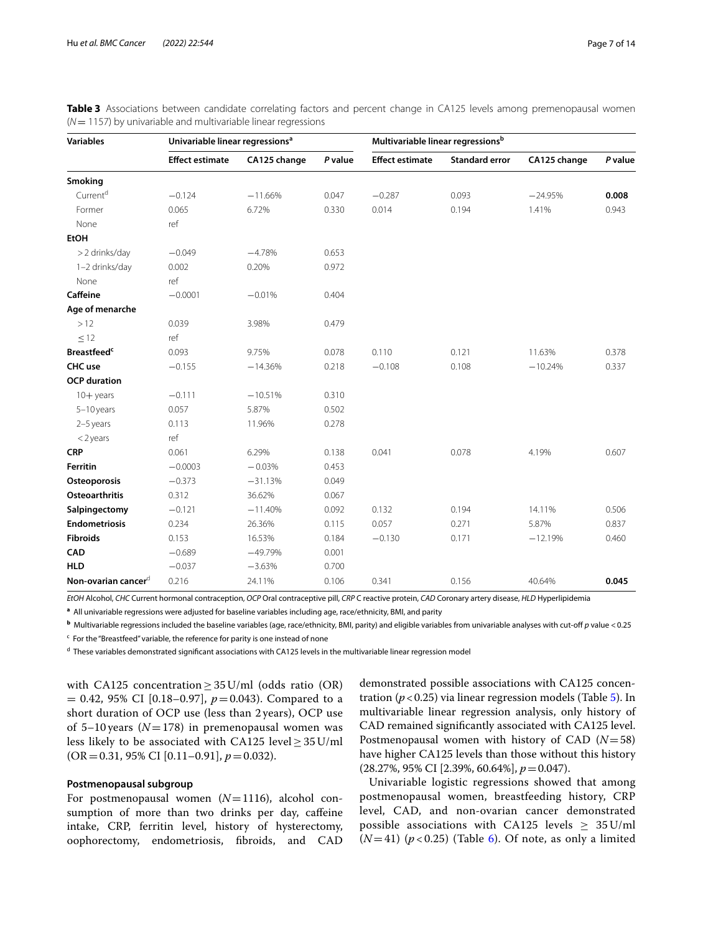| <b>Variables</b>                | Univariable linear regressions <sup>a</sup> |              |         | Multivariable linear regressionsb |                       |              |         |
|---------------------------------|---------------------------------------------|--------------|---------|-----------------------------------|-----------------------|--------------|---------|
|                                 | <b>Effect estimate</b>                      | CA125 change | P value | <b>Effect estimate</b>            | <b>Standard error</b> | CA125 change | P value |
| Smoking                         |                                             |              |         |                                   |                       |              |         |
| Current <sup>d</sup>            | $-0.124$                                    | $-11.66%$    | 0.047   | $-0.287$                          | 0.093                 | $-24.95%$    | 0.008   |
| Former                          | 0.065                                       | 6.72%        | 0.330   | 0.014                             | 0.194                 | 1.41%        | 0.943   |
| None                            | ref                                         |              |         |                                   |                       |              |         |
| <b>EtOH</b>                     |                                             |              |         |                                   |                       |              |         |
| > 2 drinks/day                  | $-0.049$                                    | $-4.78%$     | 0.653   |                                   |                       |              |         |
| 1-2 drinks/day                  | 0.002                                       | 0.20%        | 0.972   |                                   |                       |              |         |
| None                            | ref                                         |              |         |                                   |                       |              |         |
| <b>Caffeine</b>                 | $-0.0001$                                   | $-0.01%$     | 0.404   |                                   |                       |              |         |
| Age of menarche                 |                                             |              |         |                                   |                       |              |         |
| >12                             | 0.039                                       | 3.98%        | 0.479   |                                   |                       |              |         |
| $\leq$ 12                       | ref                                         |              |         |                                   |                       |              |         |
| <b>Breastfeed<sup>c</sup></b>   | 0.093                                       | 9.75%        | 0.078   | 0.110                             | 0.121                 | 11.63%       | 0.378   |
| CHC use                         | $-0.155$                                    | $-14.36%$    | 0.218   | $-0.108$                          | 0.108                 | $-10.24%$    | 0.337   |
| <b>OCP</b> duration             |                                             |              |         |                                   |                       |              |         |
| $10+$ years                     | $-0.111$                                    | $-10.51%$    | 0.310   |                                   |                       |              |         |
| $5-10$ years                    | 0.057                                       | 5.87%        | 0.502   |                                   |                       |              |         |
| $2-5$ years                     | 0.113                                       | 11.96%       | 0.278   |                                   |                       |              |         |
| $<$ 2 years                     | ref                                         |              |         |                                   |                       |              |         |
| <b>CRP</b>                      | 0.061                                       | 6.29%        | 0.138   | 0.041                             | 0.078                 | 4.19%        | 0.607   |
| <b>Ferritin</b>                 | $-0.0003$                                   | $-0.03%$     | 0.453   |                                   |                       |              |         |
| Osteoporosis                    | $-0.373$                                    | $-31.13%$    | 0.049   |                                   |                       |              |         |
| <b>Osteoarthritis</b>           | 0.312                                       | 36.62%       | 0.067   |                                   |                       |              |         |
| Salpingectomy                   | $-0.121$                                    | $-11.40%$    | 0.092   | 0.132                             | 0.194                 | 14.11%       | 0.506   |
| <b>Endometriosis</b>            | 0.234                                       | 26.36%       | 0.115   | 0.057                             | 0.271                 | 5.87%        | 0.837   |
| <b>Fibroids</b>                 | 0.153                                       | 16.53%       | 0.184   | $-0.130$                          | 0.171                 | $-12.19%$    | 0.460   |
| <b>CAD</b>                      | $-0.689$                                    | $-49.79%$    | 0.001   |                                   |                       |              |         |
| <b>HLD</b>                      | $-0.037$                                    | $-3.63%$     | 0.700   |                                   |                       |              |         |
| Non-ovarian cancer <sup>d</sup> | 0.216                                       | 24.11%       | 0.106   | 0.341                             | 0.156                 | 40.64%       | 0.045   |

<span id="page-6-0"></span>**Table 3** Associations between candidate correlating factors and percent change in CA125 levels among premenopausal women (*N*= 1157) by univariable and multivariable linear regressions

*EtOH* Alcohol, *CHC* Current hormonal contraception, *OCP* Oral contraceptive pill, *CRP* C reactive protein, *CAD* Coronary artery disease, *HLD* Hyperlipidemia

**a** All univariable regressions were adjusted for baseline variables including age, race/ethnicity, BMI, and parity

**<sup>b</sup>** Multivariable regressions included the baseline variables (age, race/ethnicity, BMI, parity) and eligible variables from univariable analyses with cut-of *p* value <0.25

<sup>c</sup> For the "Breastfeed" variable, the reference for parity is one instead of none

<sup>d</sup> These variables demonstrated significant associations with CA125 levels in the multivariable linear regression model

with CA125 concentration  $\geq$  35 U/ml (odds ratio (OR)  $= 0.42, 95\%$  CI [0.18–0.97],  $p = 0.043$ ). Compared to a short duration of OCP use (less than 2 years), OCP use of 5–10 years  $(N=178)$  in premenopausal women was less likely to be associated with CA125 level  $\geq$  35 U/ml (OR=0.31, 95% CI [0.11–0.91], *p*=0.032).

# **Postmenopausal subgroup**

For postmenopausal women (*N*=1116), alcohol consumption of more than two drinks per day, caffeine intake, CRP, ferritin level, history of hysterectomy, oophorectomy, endometriosis, fbroids, and CAD

demonstrated possible associations with CA125 concentration ( $p < 0.25$ ) via linear regression models (Table  $5$ ). In multivariable linear regression analysis, only history of CAD remained signifcantly associated with CA125 level. Postmenopausal women with history of CAD (*N*=58) have higher CA125 levels than those without this history (28.27%, 95% CI [2.39%, 60.64%], *p*=0.047).

Univariable logistic regressions showed that among postmenopausal women, breastfeeding history, CRP level, CAD, and non-ovarian cancer demonstrated possible associations with CA125 levels  $\geq 35$  U/ml  $(N=41)$  ( $p < 0.25$ ) (Table [6\)](#page-9-0). Of note, as only a limited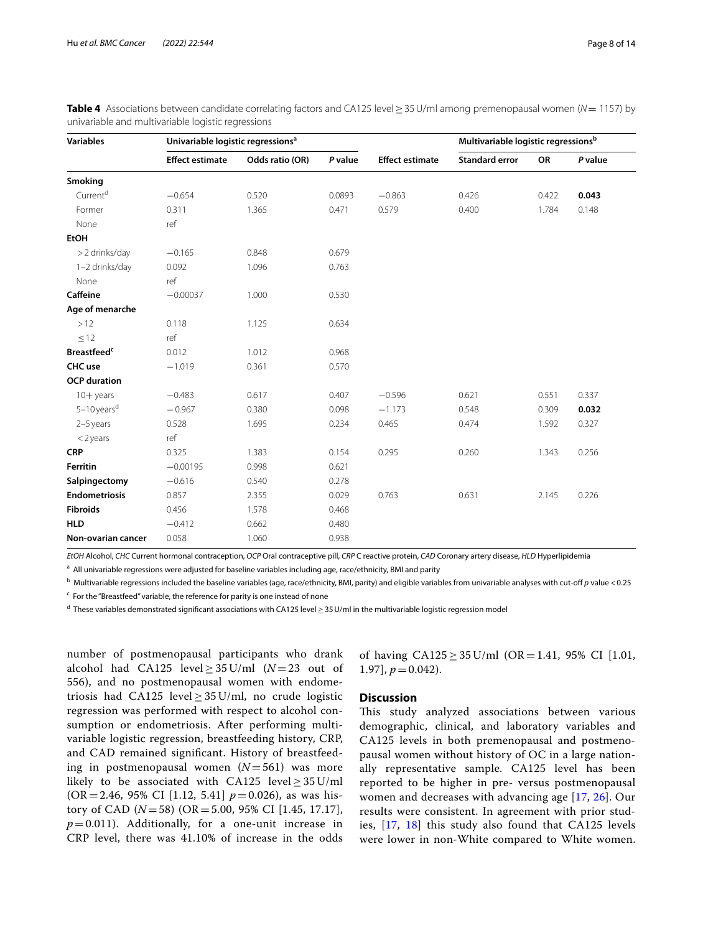| <b>Variables</b>               |                        | Univariable logistic regressions <sup>a</sup> |         |                        | Multivariable logistic regressionsb |       |         |
|--------------------------------|------------------------|-----------------------------------------------|---------|------------------------|-------------------------------------|-------|---------|
|                                | <b>Effect estimate</b> | Odds ratio (OR)                               | P value | <b>Effect estimate</b> | <b>Standard error</b>               | OR    | P value |
| Smoking                        |                        |                                               |         |                        |                                     |       |         |
| Current <sup>d</sup>           | $-0.654$               | 0.520                                         | 0.0893  | $-0.863$               | 0.426                               | 0.422 | 0.043   |
| Former                         | 0.311                  | 1.365                                         | 0.471   | 0.579                  | 0.400                               | 1.784 | 0.148   |
| None                           | ref                    |                                               |         |                        |                                     |       |         |
| <b>EtOH</b>                    |                        |                                               |         |                        |                                     |       |         |
| >2 drinks/day                  | $-0.165$               | 0.848                                         | 0.679   |                        |                                     |       |         |
| 1-2 drinks/day                 | 0.092                  | 1.096                                         | 0.763   |                        |                                     |       |         |
| None                           | ref                    |                                               |         |                        |                                     |       |         |
| <b>Caffeine</b>                | $-0.00037$             | 1.000                                         | 0.530   |                        |                                     |       |         |
| Age of menarche                |                        |                                               |         |                        |                                     |       |         |
| >12                            | 0.118                  | 1.125                                         | 0.634   |                        |                                     |       |         |
| $\leq$ 12                      | ref                    |                                               |         |                        |                                     |       |         |
| <b>Breastfeed</b> <sup>c</sup> | 0.012                  | 1.012                                         | 0.968   |                        |                                     |       |         |
| CHC use                        | $-1.019$               | 0.361                                         | 0.570   |                        |                                     |       |         |
| <b>OCP</b> duration            |                        |                                               |         |                        |                                     |       |         |
| $10+$ years                    | $-0.483$               | 0.617                                         | 0.407   | $-0.596$               | 0.621                               | 0.551 | 0.337   |
| $5-10$ years <sup>d</sup>      | $-0.967$               | 0.380                                         | 0.098   | $-1.173$               | 0.548                               | 0.309 | 0.032   |
| $2-5$ years                    | 0.528                  | 1.695                                         | 0.234   | 0.465                  | 0.474                               | 1.592 | 0.327   |
| $<$ 2 years                    | ref                    |                                               |         |                        |                                     |       |         |
| <b>CRP</b>                     | 0.325                  | 1.383                                         | 0.154   | 0.295                  | 0.260                               | 1.343 | 0.256   |
| Ferritin                       | $-0.00195$             | 0.998                                         | 0.621   |                        |                                     |       |         |
| Salpingectomy                  | $-0.616$               | 0.540                                         | 0.278   |                        |                                     |       |         |
| <b>Endometriosis</b>           | 0.857                  | 2.355                                         | 0.029   | 0.763                  | 0.631                               | 2.145 | 0.226   |
| <b>Fibroids</b>                | 0.456                  | 1.578                                         | 0.468   |                        |                                     |       |         |
| <b>HLD</b>                     | $-0.412$               | 0.662                                         | 0.480   |                        |                                     |       |         |
| Non-ovarian cancer             | 0.058                  | 1.060                                         | 0.938   |                        |                                     |       |         |

<span id="page-7-0"></span>**Table 4** Associations between candidate correlating factors and CA125 level≥35U/ml among premenopausal women (*N*= 1157) by univariable and multivariable logistic regressions

*EtOH* Alcohol, *CHC* Current hormonal contraception, *OCP* Oral contraceptive pill, *CRP* C reactive protein, *CAD* Coronary artery disease, *HLD* Hyperlipidemia

<sup>a</sup> All univariable regressions were adjusted for baseline variables including age, race/ethnicity, BMI and parity

b Multivariable regressions included the baseline variables (age, race/ethnicity, BMI, parity) and eligible variables from univariable analyses with cut-of *p* value <0.25

<sup>c</sup> For the "Breastfeed" variable, the reference for parity is one instead of none

<sup>d</sup> These variables demonstrated significant associations with CA125 level≥35U/ml in the multivariable logistic regression model

number of postmenopausal participants who drank alcohol had CA125 level  $\geq$  35 U/ml ( $N=23$  out of 556), and no postmenopausal women with endometriosis had CA125 level  $\geq$  35 U/ml, no crude logistic regression was performed with respect to alcohol consumption or endometriosis. After performing multivariable logistic regression, breastfeeding history, CRP, and CAD remained signifcant. History of breastfeeding in postmenopausal women (*N*=561) was more likely to be associated with CA125 level  $\geq$  35 U/ml (OR=2.46, 95% CI [1.12, 5.41] *p*=0.026), as was history of CAD (*N*=58) (OR=5.00, 95% CI [1.45, 17.17],  $p=0.011$ ). Additionally, for a one-unit increase in CRP level, there was 41.10% of increase in the odds of having  $CA125 \ge 35$  U/ml  $(OR = 1.41, 95\% \text{ CI}$  [1.01, 1.97],  $p = 0.042$ .

## **Discussion**

This study analyzed associations between various demographic, clinical, and laboratory variables and CA125 levels in both premenopausal and postmenopausal women without history of OC in a large nationally representative sample. CA125 level has been reported to be higher in pre- versus postmenopausal women and decreases with advancing age [[17,](#page-13-7) [26\]](#page-13-16). Our results were consistent. In agreement with prior studies, [[17,](#page-13-7) [18\]](#page-13-10) this study also found that CA125 levels were lower in non-White compared to White women.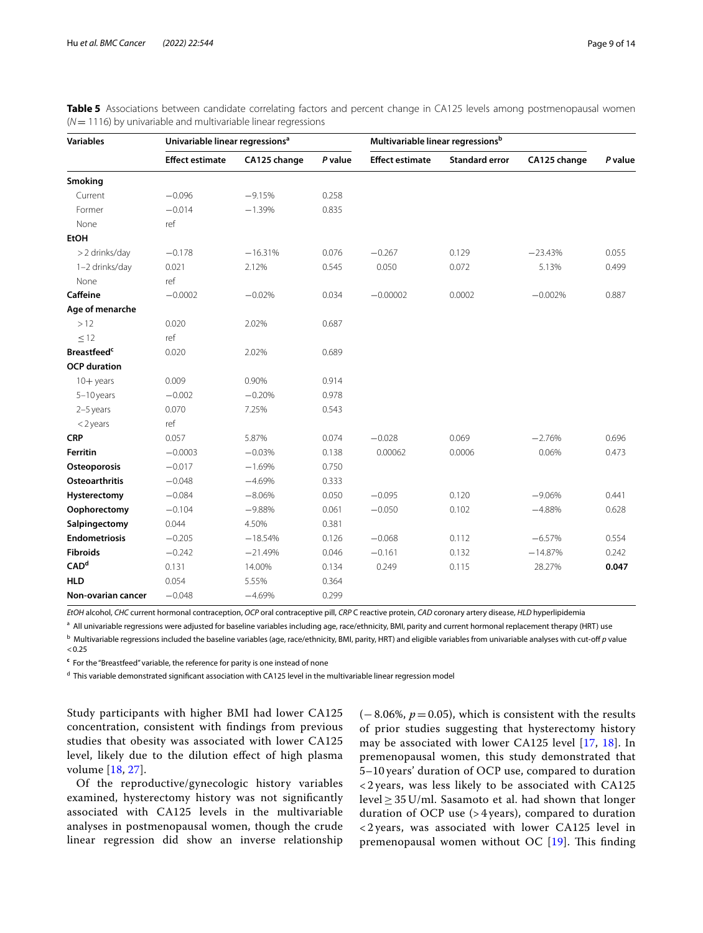| <b>Variables</b>               | Univariable linear regressions <sup>a</sup> |              |         | Multivariable linear regressions <sup>b</sup> |                       |              |         |
|--------------------------------|---------------------------------------------|--------------|---------|-----------------------------------------------|-----------------------|--------------|---------|
|                                | <b>Effect estimate</b>                      | CA125 change | P value | <b>Effect estimate</b>                        | <b>Standard error</b> | CA125 change | P value |
| Smoking                        |                                             |              |         |                                               |                       |              |         |
| Current                        | $-0.096$                                    | $-9.15%$     | 0.258   |                                               |                       |              |         |
| Former                         | $-0.014$                                    | $-1.39%$     | 0.835   |                                               |                       |              |         |
| None                           | ref                                         |              |         |                                               |                       |              |         |
| <b>EtOH</b>                    |                                             |              |         |                                               |                       |              |         |
| > 2 drinks/day                 | $-0.178$                                    | $-16.31%$    | 0.076   | $-0.267$                                      | 0.129                 | $-23.43%$    | 0.055   |
| 1-2 drinks/day                 | 0.021                                       | 2.12%        | 0.545   | 0.050                                         | 0.072                 | 5.13%        | 0.499   |
| None                           | ref                                         |              |         |                                               |                       |              |         |
| Caffeine                       | $-0.0002$                                   | $-0.02%$     | 0.034   | $-0.00002$                                    | 0.0002                | $-0.002%$    | 0.887   |
| Age of menarche                |                                             |              |         |                                               |                       |              |         |
| >12                            | 0.020                                       | 2.02%        | 0.687   |                                               |                       |              |         |
| $\leq$ 12                      | ref                                         |              |         |                                               |                       |              |         |
| <b>Breastfeed</b> <sup>c</sup> | 0.020                                       | 2.02%        | 0.689   |                                               |                       |              |         |
| <b>OCP</b> duration            |                                             |              |         |                                               |                       |              |         |
| $10+$ years                    | 0.009                                       | 0.90%        | 0.914   |                                               |                       |              |         |
| $5-10$ years                   | $-0.002$                                    | $-0.20%$     | 0.978   |                                               |                       |              |         |
| $2-5$ years                    | 0.070                                       | 7.25%        | 0.543   |                                               |                       |              |         |
| $<$ 2 years                    | ref                                         |              |         |                                               |                       |              |         |
| <b>CRP</b>                     | 0.057                                       | 5.87%        | 0.074   | $-0.028$                                      | 0.069                 | $-2.76%$     | 0.696   |
| <b>Ferritin</b>                | $-0.0003$                                   | $-0.03%$     | 0.138   | 0.00062                                       | 0.0006                | 0.06%        | 0.473   |
| Osteoporosis                   | $-0.017$                                    | $-1.69%$     | 0.750   |                                               |                       |              |         |
| <b>Osteoarthritis</b>          | $-0.048$                                    | $-4.69%$     | 0.333   |                                               |                       |              |         |
| Hysterectomy                   | $-0.084$                                    | $-8.06%$     | 0.050   | $-0.095$                                      | 0.120                 | $-9.06%$     | 0.441   |
| Oophorectomy                   | $-0.104$                                    | $-9.88%$     | 0.061   | $-0.050$                                      | 0.102                 | $-4.88%$     | 0.628   |
| Salpingectomy                  | 0.044                                       | 4.50%        | 0.381   |                                               |                       |              |         |
| <b>Endometriosis</b>           | $-0.205$                                    | $-18.54%$    | 0.126   | $-0.068$                                      | 0.112                 | $-6.57%$     | 0.554   |
| <b>Fibroids</b>                | $-0.242$                                    | $-21.49%$    | 0.046   | $-0.161$                                      | 0.132                 | $-14.87%$    | 0.242   |
| CAD <sup>d</sup>               | 0.131                                       | 14.00%       | 0.134   | 0.249                                         | 0.115                 | 28.27%       | 0.047   |
| <b>HLD</b>                     | 0.054                                       | 5.55%        | 0.364   |                                               |                       |              |         |
| Non-ovarian cancer             | $-0.048$                                    | $-4.69%$     | 0.299   |                                               |                       |              |         |

<span id="page-8-0"></span>**Table 5** Associations between candidate correlating factors and percent change in CA125 levels among postmenopausal women (*N*= 1116) by univariable and multivariable linear regressions

*EtOH* alcohol, *CHC* current hormonal contraception, *OCP* oral contraceptive pill, *CRP* C reactive protein, *CAD* coronary artery disease, *HLD* hyperlipidemia

<sup>a</sup> All univariable regressions were adjusted for baseline variables including age, race/ethnicity, BMI, parity and current hormonal replacement therapy (HRT) use

b Multivariable regressions included the baseline variables (age, race/ethnicity, BMI, parity, HRT) and eligible variables from univariable analyses with cut-of *p* value  $< 0.25$ 

**c** For the "Breastfeed" variable, the reference for parity is one instead of none

<sup>d</sup> This variable demonstrated significant association with CA125 level in the multivariable linear regression model

Study participants with higher BMI had lower CA125 concentration, consistent with fndings from previous studies that obesity was associated with lower CA125 level, likely due to the dilution efect of high plasma volume [[18,](#page-13-10) [27\]](#page-13-17).

Of the reproductive/gynecologic history variables examined, hysterectomy history was not signifcantly associated with CA125 levels in the multivariable analyses in postmenopausal women, though the crude linear regression did show an inverse relationship  $(-8.06\%, p=0.05)$ , which is consistent with the results of prior studies suggesting that hysterectomy history may be associated with lower CA125 level [\[17,](#page-13-7) [18\]](#page-13-10). In premenopausal women, this study demonstrated that 5–10 years' duration of OCP use, compared to duration < 2 years, was less likely to be associated with CA125 level  $\geq$  35 U/ml. Sasamoto et al. had shown that longer duration of OCP use (> 4 years), compared to duration < 2 years, was associated with lower CA125 level in premenopausal women without OC  $[19]$  $[19]$ . This finding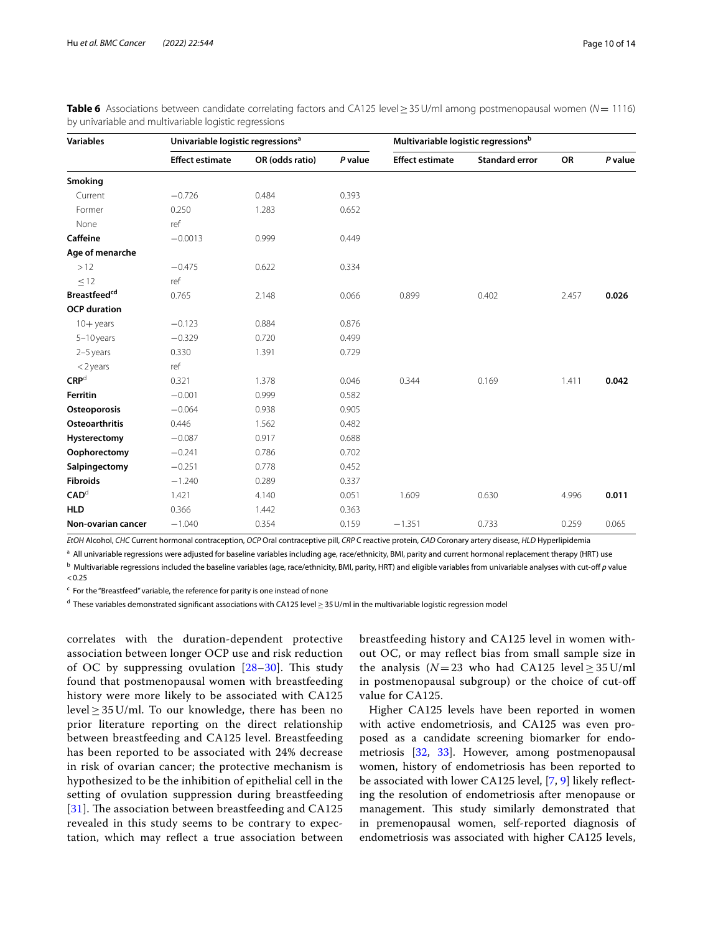| <b>Variables</b>         | Univariable logistic regressions <sup>a</sup> |                 |         | Multivariable logistic regressionsb |                       |       |         |
|--------------------------|-----------------------------------------------|-----------------|---------|-------------------------------------|-----------------------|-------|---------|
|                          | <b>Effect estimate</b>                        | OR (odds ratio) | P value | <b>Effect estimate</b>              | <b>Standard error</b> | OR    | P value |
| Smoking                  |                                               |                 |         |                                     |                       |       |         |
| Current                  | $-0.726$                                      | 0.484           | 0.393   |                                     |                       |       |         |
| Former                   | 0.250                                         | 1.283           | 0.652   |                                     |                       |       |         |
| None                     | ref                                           |                 |         |                                     |                       |       |         |
| Caffeine                 | $-0.0013$                                     | 0.999           | 0.449   |                                     |                       |       |         |
| Age of menarche          |                                               |                 |         |                                     |                       |       |         |
| >12                      | $-0.475$                                      | 0.622           | 0.334   |                                     |                       |       |         |
| $\leq$ 12                | ref                                           |                 |         |                                     |                       |       |         |
| Breastfeed <sup>cd</sup> | 0.765                                         | 2.148           | 0.066   | 0.899                               | 0.402                 | 2.457 | 0.026   |
| <b>OCP</b> duration      |                                               |                 |         |                                     |                       |       |         |
| $10+$ years              | $-0.123$                                      | 0.884           | 0.876   |                                     |                       |       |         |
| $5-10$ years             | $-0.329$                                      | 0.720           | 0.499   |                                     |                       |       |         |
| $2-5$ years              | 0.330                                         | 1.391           | 0.729   |                                     |                       |       |         |
| $<$ 2 years              | ref                                           |                 |         |                                     |                       |       |         |
| CRP <sup>d</sup>         | 0.321                                         | 1.378           | 0.046   | 0.344                               | 0.169                 | 1.411 | 0.042   |
| <b>Ferritin</b>          | $-0.001$                                      | 0.999           | 0.582   |                                     |                       |       |         |
| Osteoporosis             | $-0.064$                                      | 0.938           | 0.905   |                                     |                       |       |         |
| <b>Osteoarthritis</b>    | 0.446                                         | 1.562           | 0.482   |                                     |                       |       |         |
| Hysterectomy             | $-0.087$                                      | 0.917           | 0.688   |                                     |                       |       |         |
| Oophorectomy             | $-0.241$                                      | 0.786           | 0.702   |                                     |                       |       |         |
| Salpingectomy            | $-0.251$                                      | 0.778           | 0.452   |                                     |                       |       |         |
| <b>Fibroids</b>          | $-1.240$                                      | 0.289           | 0.337   |                                     |                       |       |         |
| $\mathsf{CAD}^{\rm d}$   | 1.421                                         | 4.140           | 0.051   | 1.609                               | 0.630                 | 4.996 | 0.011   |
| <b>HLD</b>               | 0.366                                         | 1.442           | 0.363   |                                     |                       |       |         |
| Non-ovarian cancer       | $-1.040$                                      | 0.354           | 0.159   | $-1.351$                            | 0.733                 | 0.259 | 0.065   |

<span id="page-9-0"></span>**Table 6** Associations between candidate correlating factors and CA125 level≥35U/ml among postmenopausal women (*N*= 1116) by univariable and multivariable logistic regressions

*EtOH* Alcohol, *CHC* Current hormonal contraception, *OCP* Oral contraceptive pill, *CRP* C reactive protein, *CAD* Coronary artery disease, *HLD* Hyperlipidemia

<sup>a</sup> All univariable regressions were adjusted for baseline variables including age, race/ethnicity, BMI, parity and current hormonal replacement therapy (HRT) use

b Multivariable regressions included the baseline variables (age, race/ethnicity, BMI, parity, HRT) and eligible variables from univariable analyses with cut-of *p* value

 $< 0.25$ 

<sup>c</sup> For the "Breastfeed" variable, the reference for parity is one instead of none

<sup>d</sup> These variables demonstrated significant associations with CA125 level≥35U/ml in the multivariable logistic regression model

correlates with the duration-dependent protective association between longer OCP use and risk reduction of OC by suppressing ovulation  $[28-30]$  $[28-30]$  $[28-30]$ . This study found that postmenopausal women with breastfeeding history were more likely to be associated with CA125 level  $\geq$  35 U/ml. To our knowledge, there has been no prior literature reporting on the direct relationship between breastfeeding and CA125 level. Breastfeeding has been reported to be associated with 24% decrease in risk of ovarian cancer; the protective mechanism is hypothesized to be the inhibition of epithelial cell in the setting of ovulation suppression during breastfeeding [ $31$ ]. The association between breastfeeding and CA125 revealed in this study seems to be contrary to expectation, which may refect a true association between breastfeeding history and CA125 level in women without OC, or may refect bias from small sample size in the analysis ( $N=23$  who had CA125 level  $\geq 35$  U/ml in postmenopausal subgroup) or the choice of cut-of value for CA125.

Higher CA125 levels have been reported in women with active endometriosis, and CA125 was even proposed as a candidate screening biomarker for endometriosis [\[32](#page-13-21), [33\]](#page-13-22). However, among postmenopausal women, history of endometriosis has been reported to be associated with lower CA125 level, [\[7](#page-13-1), [9\]](#page-13-6) likely refecting the resolution of endometriosis after menopause or management. This study similarly demonstrated that in premenopausal women, self-reported diagnosis of endometriosis was associated with higher CA125 levels,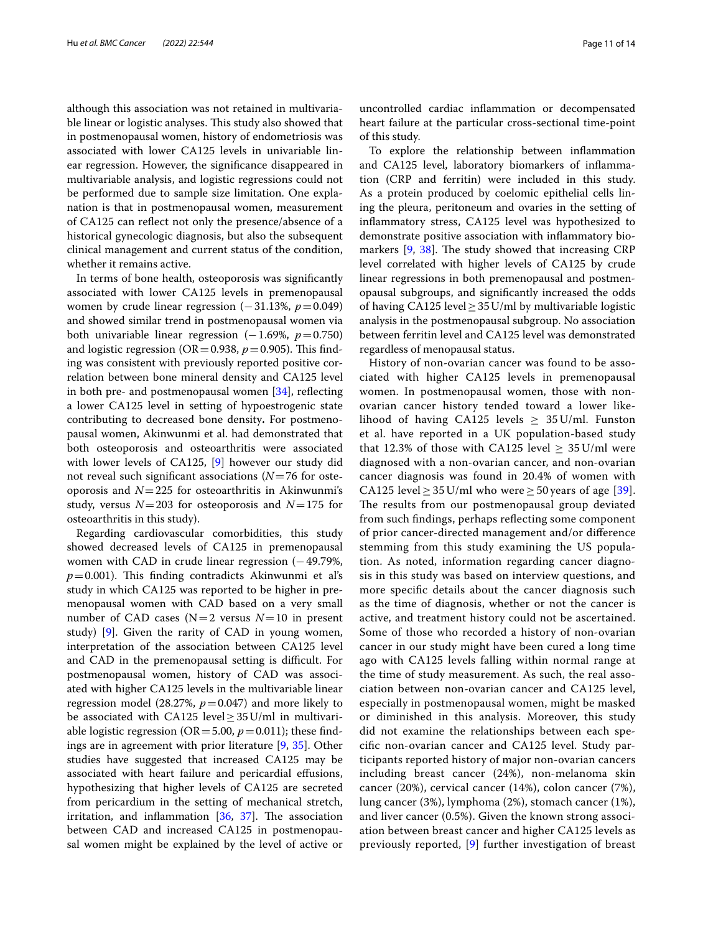although this association was not retained in multivariable linear or logistic analyses. This study also showed that in postmenopausal women, history of endometriosis was associated with lower CA125 levels in univariable linear regression. However, the signifcance disappeared in multivariable analysis, and logistic regressions could not be performed due to sample size limitation. One explanation is that in postmenopausal women, measurement of CA125 can refect not only the presence/absence of a historical gynecologic diagnosis, but also the subsequent clinical management and current status of the condition, whether it remains active.

In terms of bone health, osteoporosis was signifcantly associated with lower CA125 levels in premenopausal women by crude linear regression (−31.13%, *p*=0.049) and showed similar trend in postmenopausal women via both univariable linear regression (−1.69%, *p*=0.750) and logistic regression ( $OR = 0.938$ ,  $p = 0.905$ ). This finding was consistent with previously reported positive correlation between bone mineral density and CA125 level in both pre- and postmenopausal women  $[34]$  $[34]$ , reflecting a lower CA125 level in setting of hypoestrogenic state contributing to decreased bone density**.** For postmenopausal women, Akinwunmi et al. had demonstrated that both osteoporosis and osteoarthritis were associated with lower levels of CA125, [\[9](#page-13-6)] however our study did not reveal such signifcant associations (*N*=76 for osteoporosis and  $N=225$  for osteoarthritis in Akinwunmi's study, versus  $N=203$  for osteoporosis and  $N=175$  for osteoarthritis in this study).

Regarding cardiovascular comorbidities, this study showed decreased levels of CA125 in premenopausal women with CAD in crude linear regression  $(-49.79\%$ ,  $p=0.001$ ). This finding contradicts Akinwunmi et al's study in which CA125 was reported to be higher in premenopausal women with CAD based on a very small number of CAD cases ( $N=2$  versus  $N=10$  in present study) [[9\]](#page-13-6). Given the rarity of CAD in young women, interpretation of the association between CA125 level and CAD in the premenopausal setting is difficult. For postmenopausal women, history of CAD was associated with higher CA125 levels in the multivariable linear regression model (28.27%,  $p=0.047$ ) and more likely to be associated with CA125 level  $\geq$  35 U/ml in multivariable logistic regression ( $OR = 5.00$ ,  $p = 0.011$ ); these findings are in agreement with prior literature [[9,](#page-13-6) [35\]](#page-13-24). Other studies have suggested that increased CA125 may be associated with heart failure and pericardial efusions, hypothesizing that higher levels of CA125 are secreted from pericardium in the setting of mechanical stretch, irritation, and inflammation  $[36, 37]$  $[36, 37]$  $[36, 37]$  $[36, 37]$ . The association between CAD and increased CA125 in postmenopausal women might be explained by the level of active or

uncontrolled cardiac infammation or decompensated heart failure at the particular cross-sectional time-point of this study.

To explore the relationship between infammation and CA125 level, laboratory biomarkers of infammation (CRP and ferritin) were included in this study. As a protein produced by coelomic epithelial cells lining the pleura, peritoneum and ovaries in the setting of infammatory stress, CA125 level was hypothesized to demonstrate positive association with infammatory biomarkers  $[9, 38]$  $[9, 38]$  $[9, 38]$  $[9, 38]$ . The study showed that increasing CRP level correlated with higher levels of CA125 by crude linear regressions in both premenopausal and postmenopausal subgroups, and signifcantly increased the odds of having CA125 level  $\geq$  35 U/ml by multivariable logistic analysis in the postmenopausal subgroup. No association between ferritin level and CA125 level was demonstrated regardless of menopausal status.

History of non-ovarian cancer was found to be associated with higher CA125 levels in premenopausal women. In postmenopausal women, those with nonovarian cancer history tended toward a lower likelihood of having CA125 levels  $\geq 35$  U/ml. Funston et al. have reported in a UK population-based study that 12.3% of those with CA125 level  $\geq 35$  U/ml were diagnosed with a non-ovarian cancer, and non-ovarian cancer diagnosis was found in 20.4% of women with CA125 level > 35 U/ml who were > 50 years of age [[39](#page-13-28)]. The results from our postmenopausal group deviated from such fndings, perhaps refecting some component of prior cancer-directed management and/or diference stemming from this study examining the US population. As noted, information regarding cancer diagnosis in this study was based on interview questions, and more specifc details about the cancer diagnosis such as the time of diagnosis, whether or not the cancer is active, and treatment history could not be ascertained. Some of those who recorded a history of non-ovarian cancer in our study might have been cured a long time ago with CA125 levels falling within normal range at the time of study measurement. As such, the real association between non-ovarian cancer and CA125 level, especially in postmenopausal women, might be masked or diminished in this analysis. Moreover, this study did not examine the relationships between each specifc non-ovarian cancer and CA125 level. Study participants reported history of major non-ovarian cancers including breast cancer (24%), non-melanoma skin cancer (20%), cervical cancer (14%), colon cancer (7%), lung cancer (3%), lymphoma (2%), stomach cancer (1%), and liver cancer (0.5%). Given the known strong association between breast cancer and higher CA125 levels as previously reported, [[9\]](#page-13-6) further investigation of breast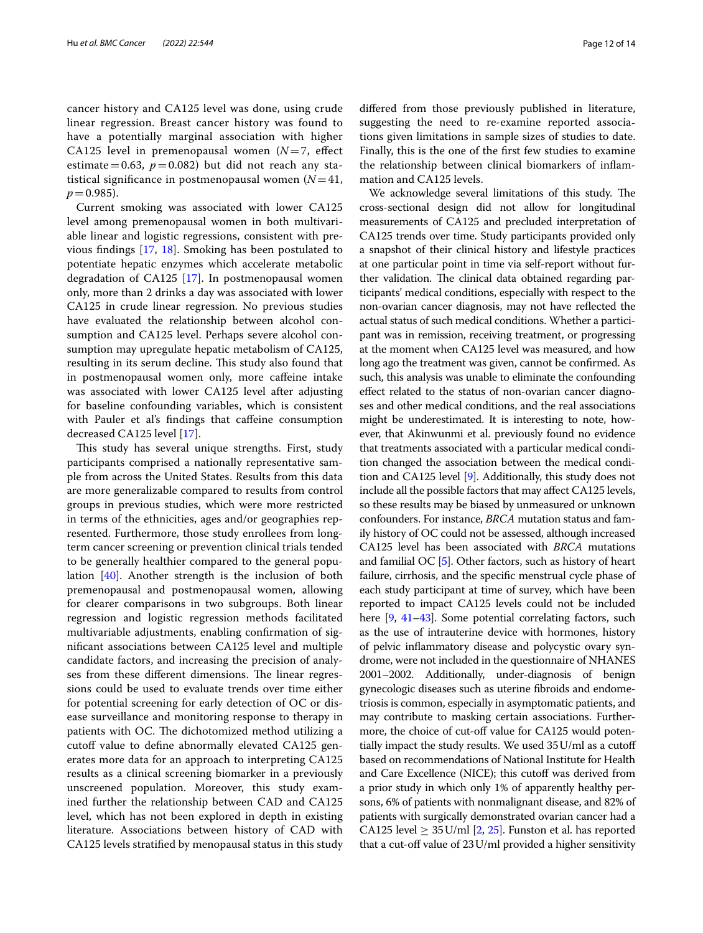cancer history and CA125 level was done, using crude linear regression. Breast cancer history was found to have a potentially marginal association with higher CA125 level in premenopausal women (*N*=7, efect estimate=0.63,  $p=0.082$ ) but did not reach any statistical significance in postmenopausal women  $(N=41,$  $p = 0.985$ ).

Current smoking was associated with lower CA125 level among premenopausal women in both multivariable linear and logistic regressions, consistent with previous fndings [\[17](#page-13-7), [18\]](#page-13-10). Smoking has been postulated to potentiate hepatic enzymes which accelerate metabolic degradation of CA125 [[17](#page-13-7)]. In postmenopausal women only, more than 2 drinks a day was associated with lower CA125 in crude linear regression. No previous studies have evaluated the relationship between alcohol consumption and CA125 level. Perhaps severe alcohol consumption may upregulate hepatic metabolism of CA125, resulting in its serum decline. This study also found that in postmenopausal women only, more cafeine intake was associated with lower CA125 level after adjusting for baseline confounding variables, which is consistent with Pauler et al's findings that caffeine consumption decreased CA125 level [\[17\]](#page-13-7).

This study has several unique strengths. First, study participants comprised a nationally representative sample from across the United States. Results from this data are more generalizable compared to results from control groups in previous studies, which were more restricted in terms of the ethnicities, ages and/or geographies represented. Furthermore, those study enrollees from longterm cancer screening or prevention clinical trials tended to be generally healthier compared to the general population [\[40](#page-13-29)]. Another strength is the inclusion of both premenopausal and postmenopausal women, allowing for clearer comparisons in two subgroups. Both linear regression and logistic regression methods facilitated multivariable adjustments, enabling confrmation of signifcant associations between CA125 level and multiple candidate factors, and increasing the precision of analyses from these different dimensions. The linear regressions could be used to evaluate trends over time either for potential screening for early detection of OC or disease surveillance and monitoring response to therapy in patients with OC. The dichotomized method utilizing a cutoff value to define abnormally elevated CA125 generates more data for an approach to interpreting CA125 results as a clinical screening biomarker in a previously unscreened population. Moreover, this study examined further the relationship between CAD and CA125 level, which has not been explored in depth in existing literature. Associations between history of CAD with CA125 levels stratifed by menopausal status in this study difered from those previously published in literature, suggesting the need to re-examine reported associations given limitations in sample sizes of studies to date. Finally, this is the one of the frst few studies to examine the relationship between clinical biomarkers of infammation and CA125 levels.

We acknowledge several limitations of this study. The cross-sectional design did not allow for longitudinal measurements of CA125 and precluded interpretation of CA125 trends over time. Study participants provided only a snapshot of their clinical history and lifestyle practices at one particular point in time via self-report without further validation. The clinical data obtained regarding participants' medical conditions, especially with respect to the non-ovarian cancer diagnosis, may not have refected the actual status of such medical conditions. Whether a participant was in remission, receiving treatment, or progressing at the moment when CA125 level was measured, and how long ago the treatment was given, cannot be confrmed. As such, this analysis was unable to eliminate the confounding efect related to the status of non-ovarian cancer diagnoses and other medical conditions, and the real associations might be underestimated. It is interesting to note, however, that Akinwunmi et al. previously found no evidence that treatments associated with a particular medical condition changed the association between the medical condition and CA125 level [\[9\]](#page-13-6). Additionally, this study does not include all the possible factors that may afect CA125 levels, so these results may be biased by unmeasured or unknown confounders. For instance, *BRCA* mutation status and family history of OC could not be assessed, although increased CA125 level has been associated with *BRCA* mutations and familial OC [\[5](#page-12-4)]. Other factors, such as history of heart failure, cirrhosis, and the specifc menstrual cycle phase of each study participant at time of survey, which have been reported to impact CA125 levels could not be included here [\[9](#page-13-6), [41–](#page-13-30)[43](#page-13-31)]. Some potential correlating factors, such as the use of intrauterine device with hormones, history of pelvic infammatory disease and polycystic ovary syndrome, were not included in the questionnaire of NHANES 2001–2002. Additionally, under-diagnosis of benign gynecologic diseases such as uterine fbroids and endometriosis is common, especially in asymptomatic patients, and may contribute to masking certain associations. Furthermore, the choice of cut-off value for CA125 would potentially impact the study results. We used 35U/ml as a cutof based on recommendations of National Institute for Health and Care Excellence (NICE); this cutoff was derived from a prior study in which only 1% of apparently healthy persons, 6% of patients with nonmalignant disease, and 82% of patients with surgically demonstrated ovarian cancer had a CA1[2](#page-12-1)5 level  $\geq$  35 U/ml [2, [25\]](#page-13-15). Funston et al. has reported that a cut-off value of  $23$  U/ml provided a higher sensitivity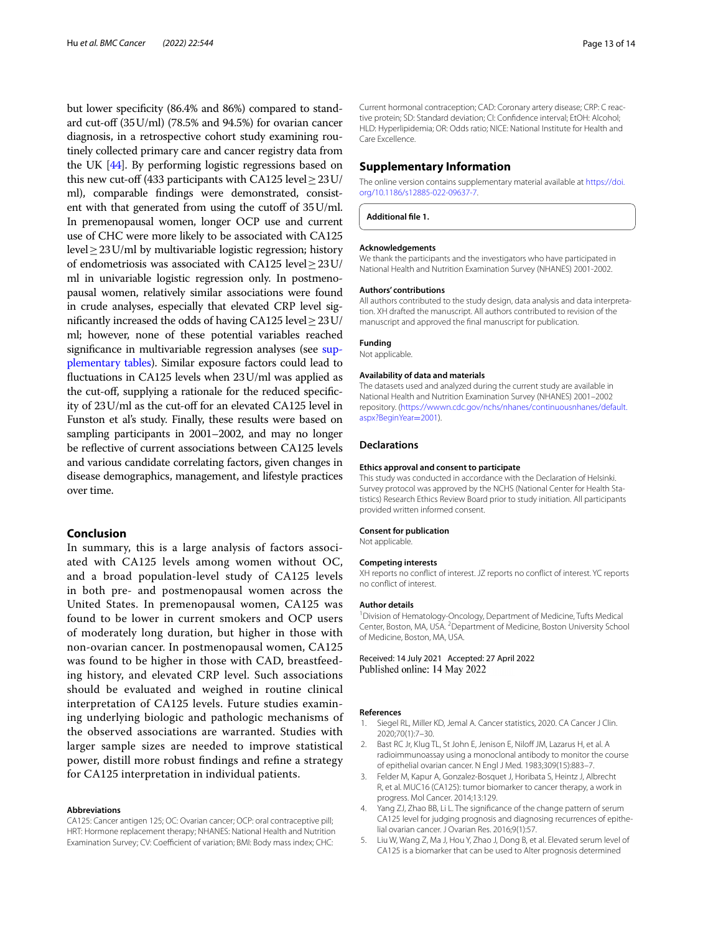but lower specifcity (86.4% and 86%) compared to standard cut-off  $(35U/ml)$  (78.5% and 94.5%) for ovarian cancer diagnosis, in a retrospective cohort study examining routinely collected primary care and cancer registry data from the UK [\[44\]](#page-13-32). By performing logistic regressions based on this new cut-off (433 participants with CA125 level  $\geq$  23U/ ml), comparable fndings were demonstrated, consistent with that generated from using the cutoff of  $35$ U/ml. In premenopausal women, longer OCP use and current use of CHC were more likely to be associated with CA125 level≥23U/ml by multivariable logistic regression; history of endometriosis was associated with CA125 level $\geq$ 23U/ ml in univariable logistic regression only. In postmenopausal women, relatively similar associations were found in crude analyses, especially that elevated CRP level signifcantly increased the odds of having CA125 level≥23U/ ml; however, none of these potential variables reached significance in multivariable regression analyses (see [sup](#page-12-5)[plementary tables](#page-12-5)). Similar exposure factors could lead to fuctuations in CA125 levels when 23U/ml was applied as the cut-off, supplying a rationale for the reduced specificity of 23U/ml as the cut-of for an elevated CA125 level in Funston et al's study. Finally, these results were based on sampling participants in 2001–2002, and may no longer be refective of current associations between CA125 levels and various candidate correlating factors, given changes in disease demographics, management, and lifestyle practices over time.

# **Conclusion**

In summary, this is a large analysis of factors associated with CA125 levels among women without OC, and a broad population-level study of CA125 levels in both pre- and postmenopausal women across the United States. In premenopausal women, CA125 was found to be lower in current smokers and OCP users of moderately long duration, but higher in those with non-ovarian cancer. In postmenopausal women, CA125 was found to be higher in those with CAD, breastfeeding history, and elevated CRP level. Such associations should be evaluated and weighed in routine clinical interpretation of CA125 levels. Future studies examining underlying biologic and pathologic mechanisms of the observed associations are warranted. Studies with larger sample sizes are needed to improve statistical power, distill more robust fndings and refne a strategy for CA125 interpretation in individual patients.

## **Abbreviations**

CA125: Cancer antigen 125; OC: Ovarian cancer; OCP: oral contraceptive pill; HRT: Hormone replacement therapy; NHANES: National Health and Nutrition Examination Survey; CV: Coefficient of variation; BMI: Body mass index; CHC:

Current hormonal contraception; CAD: Coronary artery disease; CRP: C reactive protein; SD: Standard deviation; CI: Confdence interval; EtOH: Alcohol; HLD: Hyperlipidemia; OR: Odds ratio; NICE: National Institute for Health and Care Excellence.

## **Supplementary Information**

The online version contains supplementary material available at [https://doi.](https://doi.org/10.1186/s12885-022-09637-7) [org/10.1186/s12885-022-09637-7](https://doi.org/10.1186/s12885-022-09637-7).

<span id="page-12-5"></span>**Additional fle 1.**

## **Acknowledgements**

We thank the participants and the investigators who have participated in National Health and Nutrition Examination Survey (NHANES) 2001-2002.

#### **Authors' contributions**

All authors contributed to the study design, data analysis and data interpretation. XH drafted the manuscript. All authors contributed to revision of the manuscript and approved the fnal manuscript for publication.

## **Funding**

Not applicable.

#### **Availability of data and materials**

The datasets used and analyzed during the current study are available in National Health and Nutrition Examination Survey (NHANES) 2001–2002 repository. ([https://wwwn.cdc.gov/nchs/nhanes/continuousnhanes/default.](https://wwwn.cdc.gov/nchs/nhanes/continuousnhanes/default.aspx?BeginYear=2001) [aspx?BeginYear](https://wwwn.cdc.gov/nchs/nhanes/continuousnhanes/default.aspx?BeginYear=2001)=2001).

## **Declarations**

## **Ethics approval and consent to participate**

This study was conducted in accordance with the Declaration of Helsinki. Survey protocol was approved by the NCHS (National Center for Health Statistics) Research Ethics Review Board prior to study initiation. All participants provided written informed consent.

## **Consent for publication**

Not applicable.

## **Competing interests**

XH reports no confict of interest. JZ reports no confict of interest. YC reports no confict of interest.

#### **Author details**

<sup>1</sup> Division of Hematology-Oncology, Department of Medicine, Tufts Medical Center, Boston, MA, USA. <sup>2</sup> Department of Medicine, Boston University School of Medicine, Boston, MA, USA.

Received: 14 July 2021 Accepted: 27 April 2022

## **References**

- <span id="page-12-0"></span>1. Siegel RL, Miller KD, Jemal A. Cancer statistics, 2020. CA Cancer J Clin. 2020;70(1):7–30.
- <span id="page-12-1"></span>2. Bast RC Jr, Klug TL, St John E, Jenison E, Niloff JM, Lazarus H, et al. A radioimmunoassay using a monoclonal antibody to monitor the course of epithelial ovarian cancer. N Engl J Med. 1983;309(15):883–7.
- <span id="page-12-2"></span>3. Felder M, Kapur A, Gonzalez-Bosquet J, Horibata S, Heintz J, Albrecht R, et al. MUC16 (CA125): tumor biomarker to cancer therapy, a work in progress. Mol Cancer. 2014;13:129.
- <span id="page-12-3"></span>Yang ZJ, Zhao BB, Li L. The significance of the change pattern of serum CA125 level for judging prognosis and diagnosing recurrences of epithelial ovarian cancer. J Ovarian Res. 2016;9(1):57.
- <span id="page-12-4"></span>5. Liu W, Wang Z, Ma J, Hou Y, Zhao J, Dong B, et al. Elevated serum level of CA125 is a biomarker that can be used to Alter prognosis determined